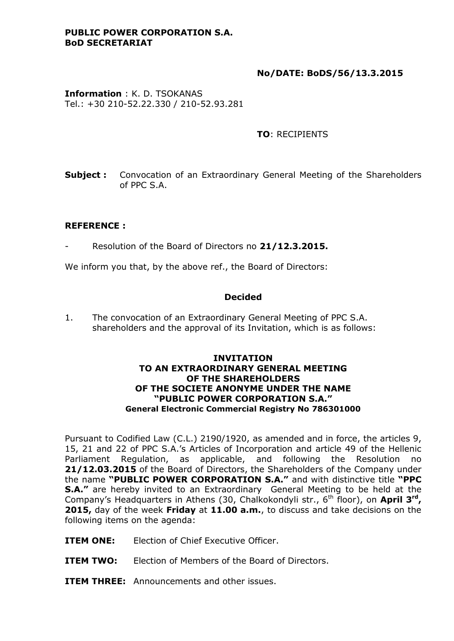### **PUBLIC POWER CORPORATION S.A. BoD SECRETARIAT**

## **No/DATE: BoDS/56/13.3.2015**

**Information** : K. D. TSOKANAS Tel.: +30 210-52.22.330 / 210-52.93.281

## **TO**: RECIPIENTS

**Subject**: Convocation of an Extraordinary General Meeting of the Shareholders of PPC S.A.

### **REFERENCE :**

- Resolution of the Board of Directors no **21/12.3.2015.**

We inform you that, by the above ref., the Board of Directors:

#### **Decided**

1. The convocation of an Extraordinary General Meeting of PPC S.A. shareholders and the approval of its Invitation, which is as follows:

### **INVITATION TO AN EXTRAORDINARY GENERAL MEETING OF THE SHAREHOLDERS OF THE SOCIETE ANONYME UNDER THE NAME "PUBLIC POWER CORPORATION S.A." General Electronic Commercial Registry No 786301000**

Pursuant to Codified Law (C.L.) 2190/1920, as amended and in force, the articles 9, 15, 21 and 22 of PPC S.A.'s Articles of Incorporation and article 49 of the Hellenic Parliament Regulation, as applicable, and following the Resolution **21/12.03.2015** of the Board of Directors, the Shareholders of the Company under the name **"PUBLIC POWER CORPORATION S.A."** and with distinctive title **"PPC S.A."** are hereby invited to an Extraordinary General Meeting to be held at the Company's Headquarters in Athens (30, Chalkokondyli str., 6<sup>th</sup> floor), on April 3<sup>rd</sup>, **2015,** day of the week **Friday** at **11.00 a.m.**, to discuss and take decisions on the following items on the agenda:

- **ITEM ONE:** Election of Chief Executive Officer.
- **ITEM TWO:** Election of Members of the Board of Directors.
- **ITEM THREE:** Announcements and other issues.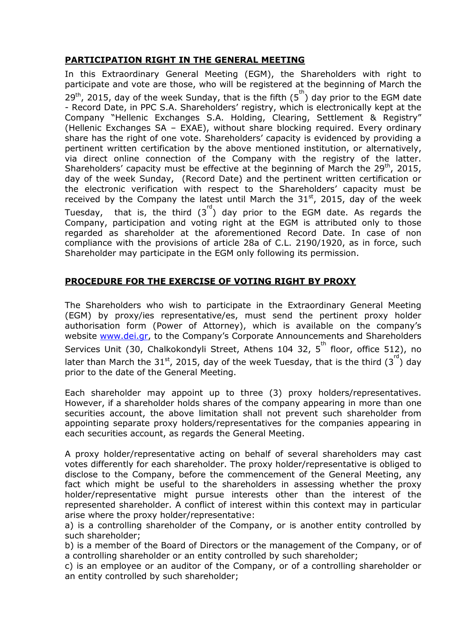# **PARTICIPATION RIGHT IN THE GENERAL MEETING**

In this Extraordinary General Meeting (EGM), the Shareholders with right to participate and vote are those, who will be registered at the beginning of March the  $29<sup>th</sup>$ , 2015, day of the week Sunday, that is the fifth  $(5<sup>th</sup>)$  day prior to the EGM date - Record Date, in PPC S.A. Shareholders' registry, which is electronically kept at the Company "Hellenic Exchanges S.A. Holding, Clearing, Settlement & Registry" (Hellenic Exchanges SA – EXAE), without share blocking required. Every ordinary share has the right of one vote. Shareholders' capacity is evidenced by providing a pertinent written certification by the above mentioned institution, or alternatively, via direct online connection of the Company with the registry of the latter. Shareholders' capacity must be effective at the beginning of March the 29th, 2015, day of the week Sunday, (Record Date) and the pertinent written certification or the electronic verification with respect to the Shareholders' capacity must be received by the Company the latest until March the  $31<sup>st</sup>$ , 2015, day of the week Tuesday, that is, the third  $(3^{rd})$  day prior to the EGM date. As regards the Company, participation and voting right at the EGM is attributed only to those regarded as shareholder at the aforementioned Record Date. In case of non compliance with the provisions of article 28a of C.L. 2190/1920, as in force, such Shareholder may participate in the EGM only following its permission.

# **PROCEDURE FOR THE EXERCISE OF VOTING RIGHT BY PROXY**

The Shareholders who wish to participate in the Extraordinary General Meeting (EGM) by proxy/ies representative/es, must send the pertinent proxy holder authorisation form (Power of Attorney), which is available on the company's website [www.dei.gr](http://www.dei.gr/), to the Company's Corporate Announcements and Shareholders Services Unit (30, Chalkokondyli Street, Athens 104 32, 5<sup>th</sup> floor, office 512), no later than March the 31<sup>st</sup>, 2015, day of the week Tuesday, that is the third (3<sup>rd</sup>) day prior to the date of the General Meeting.

Each shareholder may appoint up to three (3) proxy holders/representatives. However, if a shareholder holds shares of the company appearing in more than one securities account, the above limitation shall not prevent such shareholder from appointing separate proxy holders/representatives for the companies appearing in each securities account, as regards the General Meeting.

A proxy holder/representative acting on behalf of several shareholders may cast votes differently for each shareholder. The proxy holder/representative is obliged to disclose to the Company, before the commencement of the General Meeting, any fact which might be useful to the shareholders in assessing whether the proxy holder/representative might pursue interests other than the interest of the represented shareholder. A conflict of interest within this context may in particular arise where the proxy holder/representative:

a) is a controlling shareholder of the Company, or is another entity controlled by such shareholder;

b) is a member of the Board of Directors or the management of the Company, or of a controlling shareholder or an entity controlled by such shareholder;

c) is an employee or an auditor of the Company, or of a controlling shareholder or an entity controlled by such shareholder;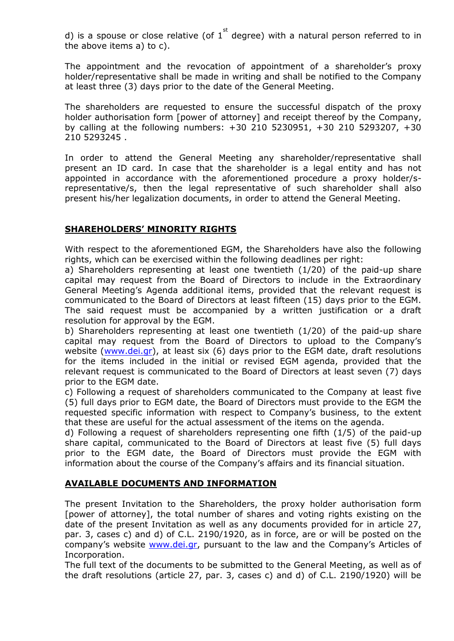d) is a spouse or close relative (of  $1^{st}$  degree) with a natural person referred to in the above items a) to c).

The appointment and the revocation of appointment of a shareholder's proxy holder/representative shall be made in writing and shall be notified to the Company at least three (3) days prior to the date of the General Meeting.

The shareholders are requested to ensure the successful dispatch of the proxy holder authorisation form [power of attorney] and receipt thereof by the Company, by calling at the following numbers: +30 210 5230951, +30 210 5293207, +30 210 5293245 .

In order to attend the General Meeting any shareholder/representative shall present an ID card. In case that the shareholder is a legal entity and has not appointed in accordance with the aforementioned procedure a proxy holder/srepresentative/s, then the legal representative of such shareholder shall also present his/her legalization documents, in order to attend the General Meeting.

## **SHAREHOLDERS' MINORITY RIGHTS**

With respect to the aforementioned EGM, the Shareholders have also the following rights, which can be exercised within the following deadlines per right:

a) Shareholders representing at least one twentieth (1/20) of the paid-up share capital may request from the Board of Directors to include in the Extraordinary General Meeting's Agenda additional items, provided that the relevant request is communicated to the Board of Directors at least fifteen (15) days prior to the EGM. The said request must be accompanied by a written justification or a draft resolution for approval by the EGM.

b) Shareholders representing at least one twentieth (1/20) of the paid-up share capital may request from the Board of Directors to upload to the Company's website [\(www.dei.gr\)](http://www.dei.gr/), at least six (6) days prior to the EGM date, draft resolutions for the items included in the initial or revised EGM agenda, provided that the relevant request is communicated to the Board of Directors at least seven (7) days prior to the EGM date.

c) Following a request of shareholders communicated to the Company at least five (5) full days prior to EGM date, the Board of Directors must provide to the EGM the requested specific information with respect to Company's business, to the extent that these are useful for the actual assessment of the items on the agenda.

d) Following a request of shareholders representing one fifth (1/5) of the paid-up share capital, communicated to the Board of Directors at least five (5) full days prior to the EGM date, the Board of Directors must provide the EGM with information about the course of the Company's affairs and its financial situation.

## **AVAILABLE DOCUMENTS AND INFORMATION**

The present Invitation to the Shareholders, the proxy holder authorisation form [power of attorney], the total number of shares and voting rights existing on the date of the present Invitation as well as any documents provided for in article 27, par. 3, cases c) and d) of C.L. 2190/1920, as in force, are or will be posted on the company's website [www.dei.gr,](http://www.dei.gr/) pursuant to the law and the Company's Articles of Incorporation.

The full text of the documents to be submitted to the General Meeting, as well as of the draft resolutions (article 27, par. 3, cases c) and d) of C.L. 2190/1920) will be